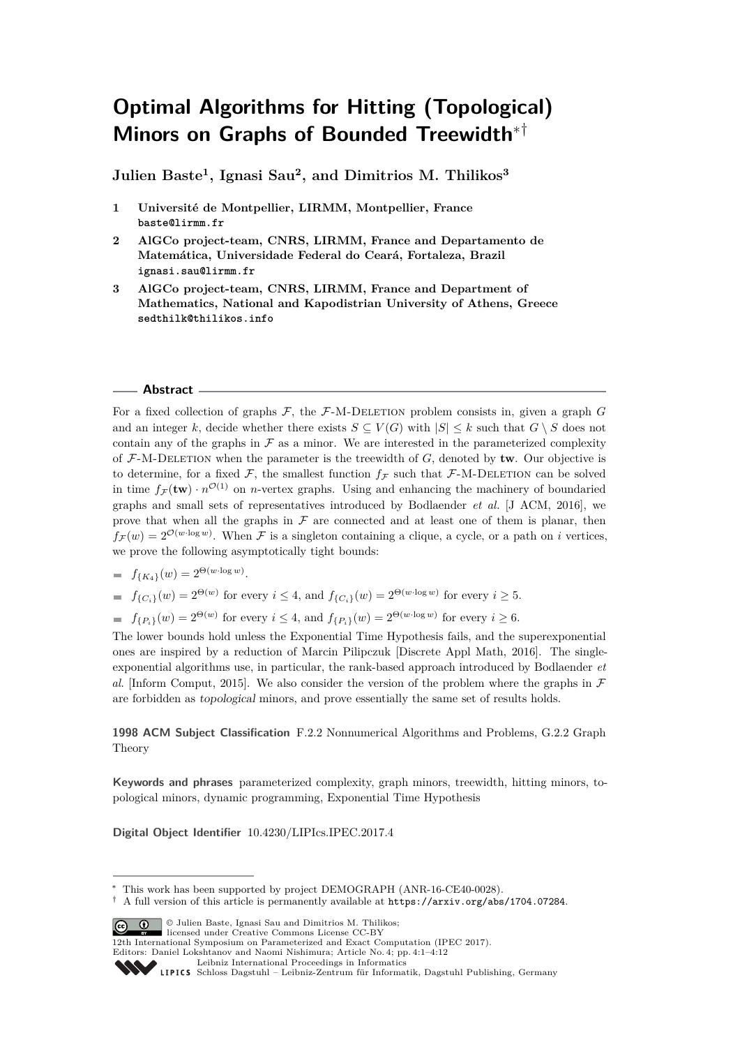# **Optimal Algorithms for Hitting (Topological) Minors on Graphs of Bounded Treewidth**∗†

**Julien Baste<sup>1</sup> , Ignasi Sau<sup>2</sup> , and Dimitrios M. Thilikos<sup>3</sup>**

- **1 Université de Montpellier, LIRMM, Montpellier, France baste@lirmm.fr**
- **2 AlGCo project-team, CNRS, LIRMM, France and Departamento de Matemática, Universidade Federal do Ceará, Fortaleza, Brazil ignasi.sau@lirmm.fr**
- **3 AlGCo project-team, CNRS, LIRMM, France and Department of Mathematics, National and Kapodistrian University of Athens, Greece sedthilk@thilikos.info**

## **Abstract**

For a fixed collection of graphs  $\mathcal{F}$ , the  $\mathcal{F}\text{-M-DELETION}$  problem consists in, given a graph  $G$ and an integer *k*, decide whether there exists  $S \subseteq V(G)$  with  $|S| \leq k$  such that  $G \setminus S$  does not contain any of the graphs in  $\mathcal F$  as a minor. We are interested in the parameterized complexity of  $F-M-DELETION$  when the parameter is the treewidth of  $G$ , denoted by **tw**. Our objective is to determine, for a fixed  $\mathcal F$ , the smallest function  $f_{\mathcal F}$  such that  $\mathcal F$ -M-DELETION can be solved in time  $f_{\mathcal{F}}(\mathbf{tw}) \cdot n^{\mathcal{O}(1)}$  on *n*-vertex graphs. Using and enhancing the machinery of boundaried graphs and small sets of representatives introduced by Bodlaender *et al.* [J ACM, 2016], we prove that when all the graphs in  $\mathcal F$  are connected and at least one of them is planar, then  $f_{\mathcal{F}}(w) = 2^{\mathcal{O}(w \cdot \log w)}$ . When F is a singleton containing a clique, a cycle, or a path on *i* vertices, we prove the following asymptotically tight bounds:

$$
= f_{\{K_4\}}(w) = 2^{\Theta(w \cdot \log w)}.
$$

$$
= f_{\{C_i\}}(w) = 2^{\Theta(w)} \text{ for every } i \le 4, \text{ and } f_{\{C_i\}}(w) = 2^{\Theta(w \cdot \log w)} \text{ for every } i \ge 5.
$$

 $f_{\{P_i\}}(w) = 2^{\Theta(w)}$  for every  $i \leq 4$ , and  $f_{\{P_i\}}(w) = 2^{\Theta(w \cdot \log w)}$  for every  $i \geq 6$ .

The lower bounds hold unless the Exponential Time Hypothesis fails, and the superexponential ones are inspired by a reduction of Marcin Pilipczuk [Discrete Appl Math, 2016]. The singleexponential algorithms use, in particular, the rank-based approach introduced by Bodlaender *et al.* [Inform Comput, 2015]. We also consider the version of the problem where the graphs in  $\mathcal F$ are forbidden as topological minors, and prove essentially the same set of results holds.

## **1998 ACM Subject Classification** F.2.2 Nonnumerical Algorithms and Problems, G.2.2 Graph Theory

**Keywords and phrases** parameterized complexity, graph minors, treewidth, hitting minors, topological minors, dynamic programming, Exponential Time Hypothesis

**Digital Object Identifier** [10.4230/LIPIcs.IPEC.2017.4](http://dx.doi.org/10.4230/LIPIcs.IPEC.2017.4)

© Julien Baste, Ignasi Sau and Dimitrios M. Thilikos; licensed under Creative Commons License CC-BY

<sup>∗</sup> This work has been supported by project DEMOGRAPH (ANR-16-CE40-0028).

<sup>†</sup> A full version of this article is permanently available at <https://arxiv.org/abs/1704.07284>.

<sup>12</sup>th International Symposium on Parameterized and Exact Computation (IPEC 2017).

Editors: Daniel Lokshtanov and Naomi Nishimura; Article No. 4; pp. 4:1–4[:12](#page-11-0)

[Leibniz International Proceedings in Informatics](http://www.dagstuhl.de/lipics/)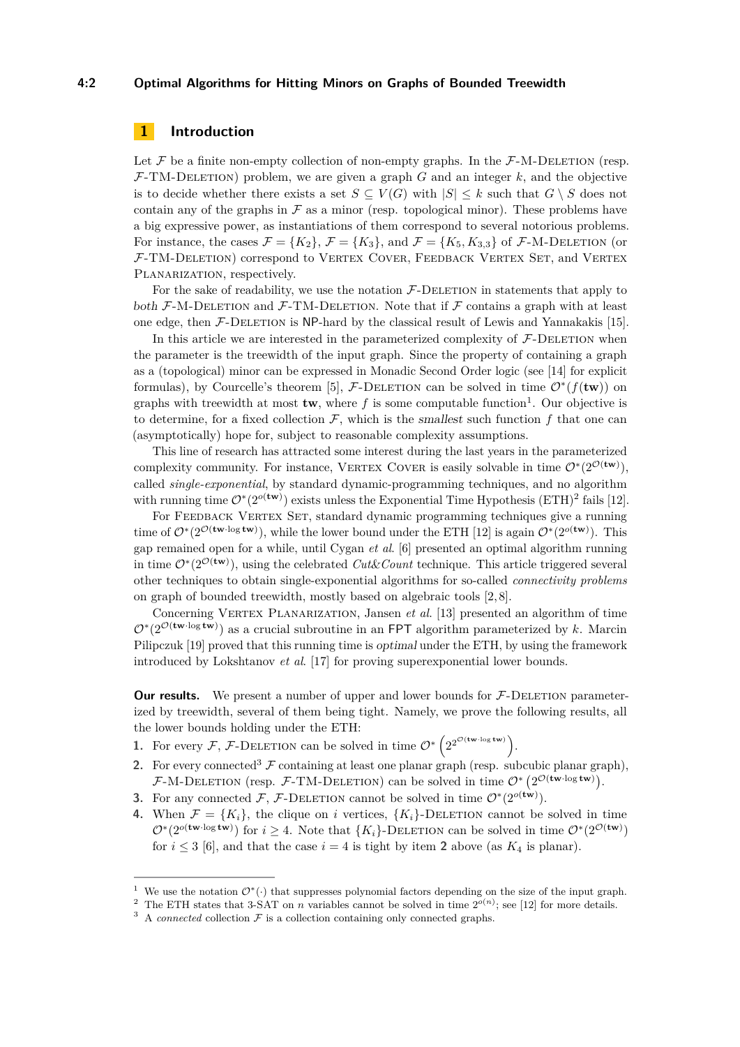## **4:2 Optimal Algorithms for Hitting Minors on Graphs of Bounded Treewidth**

# **1 Introduction**

Let  $\mathcal F$  be a finite non-empty collection of non-empty graphs. In the  $\mathcal F$ -M-DELETION (resp.  $F-TM-DELETION$  problem, we are given a graph *G* and an integer *k*, and the objective is to decide whether there exists a set  $S \subseteq V(G)$  with  $|S| \leq k$  such that  $G \setminus S$  does not contain any of the graphs in  $\mathcal F$  as a minor (resp. topological minor). These problems have a big expressive power, as instantiations of them correspond to several notorious problems. For instance, the cases  $\mathcal{F} = \{K_2\}$ ,  $\mathcal{F} = \{K_3\}$ , and  $\mathcal{F} = \{K_5, K_{3,3}\}$  of  $\mathcal{F}\text{-}\text{M-DELETION}$  (or F-TM-Deletion) correspond to Vertex Cover, Feedback Vertex Set, and Vertex PLANARIZATION, respectively.

For the sake of readability, we use the notation  $\mathcal{F}\text{-}\mathrm{DELETION}$  in statements that apply to both  $\mathcal{F}\text{-}\mathrm{M}\text{-}\mathrm{DEL}$  and  $\mathcal{F}\text{-}\mathrm{TM}\text{-}\mathrm{DEL}$  ETM. Note that if  $\mathcal{F}$  contains a graph with at least one edge, then  $\mathcal{F}\text{-}\mathrm{DELETION}$  is NP-hard by the classical result of Lewis and Yannakakis [\[15\]](#page-11-1).

In this article we are interested in the parameterized complexity of  $\mathcal{F}\text{-}\text{DELETION}$  when the parameter is the treewidth of the input graph. Since the property of containing a graph as a (topological) minor can be expressed in Monadic Second Order logic (see [\[14\]](#page-11-2) for explicit formulas), by Courcelle's theorem [\[5\]](#page-11-3),  $\mathcal{F}\text{-}\text{DELETION}$  can be solved in time  $\mathcal{O}^*(f(\mathbf{tw}))$  on graphs with treewidth at most  $\mathbf{tw}$ , where  $f$  is some computable function<sup>[1](#page-1-0)</sup>. Our objective is to determine, for a fixed collection  $\mathcal F$ , which is the smallest such function  $f$  that one can (asymptotically) hope for, subject to reasonable complexity assumptions.

This line of research has attracted some interest during the last years in the parameterized complexity community. For instance, VERTEX COVER is easily solvable in time  $\mathcal{O}^*(2^{\mathcal{O}(\mathbf{tw})})$ , called *single-exponential*, by standard dynamic-programming techniques, and no algorithm with running time  $\mathcal{O}^*(2^{o(\mathbf{tw})})$  $\mathcal{O}^*(2^{o(\mathbf{tw})})$  $\mathcal{O}^*(2^{o(\mathbf{tw})})$  exists unless the Exponential Time Hypothesis (ETH)<sup>2</sup> fails [\[12\]](#page-11-4).

For FEEDBACK VERTEX SET, standard dynamic programming techniques give a running time of  $\mathcal{O}^*(2^{\mathcal{O}(\textbf{tw} \cdot \log \textbf{tw}}))$ , while the lower bound under the ETH [\[12\]](#page-11-4) is again  $\mathcal{O}^*(2^{o(\textbf{tw})})$ . This gap remained open for a while, until Cygan *et al*. [\[6\]](#page-11-5) presented an optimal algorithm running in time  $\mathcal{O}^*(2^{\mathcal{O}(\text{tw})})$ , using the celebrated *Cut&Count* technique. This article triggered several other techniques to obtain single-exponential algorithms for so-called *connectivity problems* on graph of bounded treewidth, mostly based on algebraic tools [\[2,](#page-10-0) [8\]](#page-11-6).

Concerning VERTEX PLANARIZATION, Jansen *et al.* [\[13\]](#page-11-7) presented an algorithm of time  $\mathcal{O}^*(2^{\mathcal{O}(\textbf{tw-log tw})})$  as a crucial subroutine in an FPT algorithm parameterized by *k*. Marcin Pilipczuk [\[19\]](#page-11-8) proved that this running time is optimal under the ETH, by using the framework introduced by Lokshtanov *et al*. [\[17\]](#page-11-9) for proving superexponential lower bounds.

**Our results.** We present a number of upper and lower bounds for  $F$ -DELETION parameterized by treewidth, several of them being tight. Namely, we prove the following results, all the lower bounds holding under the ETH:

- **1.** For every F, F-DELETION can be solved in time  $\mathcal{O}^*\left(2^{2^{\mathcal{O}(\text{tw-log tw)}}}\right)$ .
- **2.** For every connected<sup>[3](#page-1-2)</sup>  $\mathcal F$  containing at least one planar graph (resp. subcubic planar graph),  $\mathcal{F}\text{-}\mathrm{M}\text{-}\mathrm{DELETION}$  (resp.  $\mathcal{F}\text{-}\mathrm{TM}\text{-}\mathrm{DELETION}$ ) can be solved in time  $\mathcal{O}^*\left(2^{\mathcal{O}(\mathbf{tw}\cdot\log\mathbf{tw})}\right)$ .
- **3.** For any connected  $\mathcal{F}, \mathcal{F}\text{-}\text{DELETION}$  cannot be solved in time  $\mathcal{O}^*(2^{o(\mathbf{tw})})$ .
- **4.** When  $\mathcal{F} = \{K_i\}$ , the clique on *i* vertices,  $\{K_i\}$ -DELETION cannot be solved in time  $\mathcal{O}^*(2^{o(\textbf{tw} \cdot \log \textbf{tw})})$  for  $i \geq 4$ . Note that  $\{K_i\}$ -DELETION can be solved in time  $\mathcal{O}^*(2^{\mathcal{O}(\textbf{tw})})$ for  $i \leq 3$  [\[6\]](#page-11-5), and that the case  $i = 4$  is tight by item **2** above (as  $K_4$  is planar).

<span id="page-1-0"></span><sup>&</sup>lt;sup>1</sup> We use the notation  $\mathcal{O}^*(\cdot)$  that suppresses polynomial factors depending on the size of the input graph.

<span id="page-1-1"></span><sup>&</sup>lt;sup>2</sup> The ETH states that 3-SAT on *n* variables cannot be solved in time  $2^{o(n)}$ ; see [\[12\]](#page-11-4) for more details.

<span id="page-1-2"></span> $3 \text{ A } connected$  collection  $\mathcal F$  is a collection containing only connected graphs.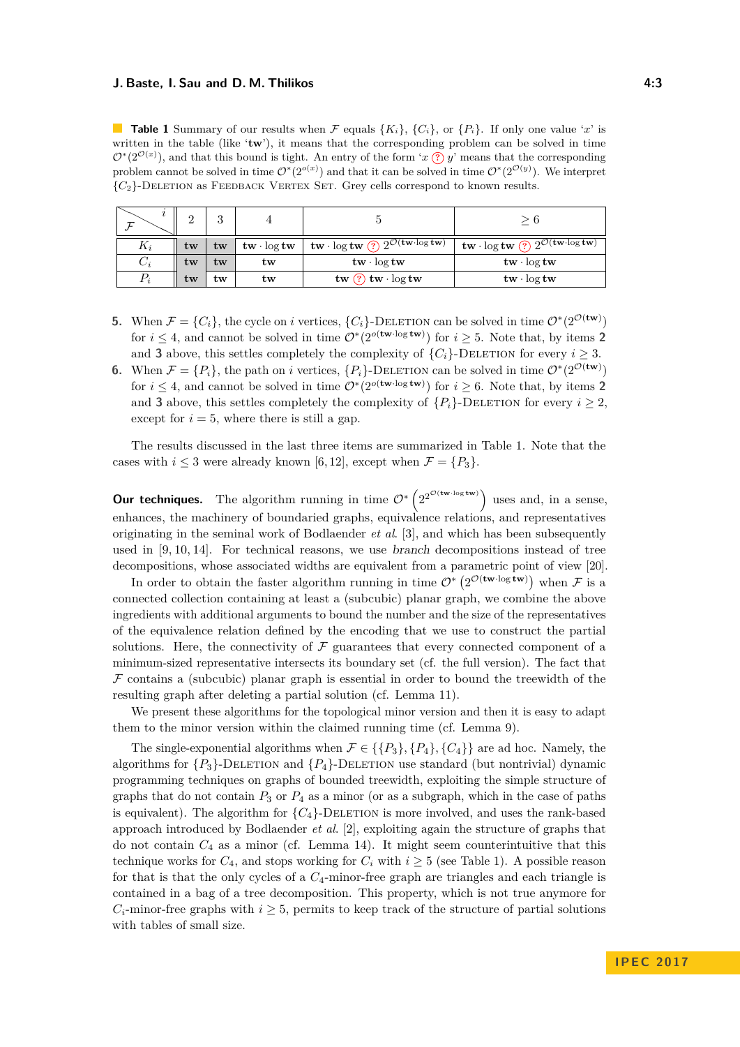<span id="page-2-0"></span>**Table 1** Summary of our results when F equals  ${K_i}$ ,  ${C_i}$ , or  ${P_i}$ . If only one value '*x*' is written in the table (like '**tw**'), it means that the corresponding problem can be solved in time  $\mathcal{O}^*(2^{\mathcal{O}(x)})$ , and that this bound is tight. An entry of the form '*x*  $\hat{P}$  *y*' means that the corresponding problem cannot be solved in time  $\mathcal{O}^*(2^{o(x)})$  and that it can be solved in time  $\mathcal{O}^*(2^{O(y)})$ . We interpret  ${C_2}$ -DELETION as FEEDBACK VERTEX SET. Grey cells correspond to known results.

| τ     | $\Omega$ | ິ<br>υ |                                      |                                                                                                                      | $\theta$                                                                                                                                           |
|-------|----------|--------|--------------------------------------|----------------------------------------------------------------------------------------------------------------------|----------------------------------------------------------------------------------------------------------------------------------------------------|
| $K_i$ | tw       | tw     | $\mathbf{tw} \cdot \log \mathbf{tw}$ | $^+$ tw $\cdot$ log tw $\left( \overline{?}\right) 2^{\textstyle\mathcal{O}({\mathbf{tw}}\cdot \log {\mathbf{tw}})}$ | $\textnormal{\textbf{tw}} \cdot \log \textnormal{\textbf{tw}}$ (?) $2^{\mathcal{O}(\textnormal{\textbf{tw}} \cdot \log \textnormal{\textbf{tw}})}$ |
| $C_i$ | tw       | tw     | tw                                   | $\mathbf{tw} \cdot \log \mathbf{tw}$                                                                                 | $\mathbf{tw} \cdot \log \mathbf{tw}$                                                                                                               |
| $P_i$ | tw       | tw     | tw                                   | tw $(?)$ tw $\log$ tw                                                                                                | $\mathbf{tw} \cdot \log \mathbf{tw}$                                                                                                               |

- **5.** When  $\mathcal{F} = \{C_i\}$ , the cycle on *i* vertices,  $\{C_i\}$ -DELETION can be solved in time  $\mathcal{O}^*(2^{\mathcal{O}(\text{tw})})$ for  $i \leq 4$ , and cannot be solved in time  $\mathcal{O}^*(2^{o(\mathbf{tw}\cdot\log\mathbf{tw})})$  for  $i \geq 5$ . Note that, by items 2 and **3** above, this settles completely the complexity of  $\{C_i\}$ -DELETION for every  $i \geq 3$ .
- **6.** When  $\mathcal{F} = \{P_i\}$ , the path on *i* vertices,  $\{P_i\}$ -DELETION can be solved in time  $\mathcal{O}^*(2^{\mathcal{O}(\text{tw})})$ for  $i \leq 4$ , and cannot be solved in time  $\mathcal{O}^*(2^{o(\mathbf{tw}\cdot\log\mathbf{tw})})$  for  $i \geq 6$ . Note that, by items 2 and **3** above, this settles completely the complexity of  ${P_i}$ -DELETION for every  $i \geq 2$ , except for  $i = 5$ , where there is still a gap.

The results discussed in the last three items are summarized in Table [1.](#page-2-0) Note that the cases with  $i \leq 3$  were already known [\[6,](#page-11-5)12], except when  $\mathcal{F} = \{P_3\}.$ 

**Our techniques.** The algorithm running in time  $\mathcal{O}^*\left(2^{2^{\mathcal{O}(\text{tw-log tw)}}}\right)$  uses and, in a sense, enhances, the machinery of boundaried graphs, equivalence relations, and representatives originating in the seminal work of Bodlaender *et al*. [\[3\]](#page-10-1), and which has been subsequently used in [\[9,](#page-11-10) [10,](#page-11-11) [14\]](#page-11-2). For technical reasons, we use branch decompositions instead of tree decompositions, whose associated widths are equivalent from a parametric point of view [\[20\]](#page-11-12).

In order to obtain the faster algorithm running in time  $\mathcal{O}^*\left(2^{\mathcal{O}(\textbf{tw} \cdot \log \textbf{tw})}\right)$  when F is a connected collection containing at least a (subcubic) planar graph, we combine the above ingredients with additional arguments to bound the number and the size of the representatives of the equivalence relation defined by the encoding that we use to construct the partial solutions. Here, the connectivity of  $\mathcal F$  guarantees that every connected component of a minimum-sized representative intersects its boundary set (cf. the full version). The fact that  $\mathcal F$  contains a (subcubic) planar graph is essential in order to bound the treewidth of the resulting graph after deleting a partial solution (cf. Lemma [11\)](#page-6-0).

We present these algorithms for the topological minor version and then it is easy to adapt them to the minor version within the claimed running time (cf. Lemma [9\)](#page-5-0).

The single-exponential algorithms when  $\mathcal{F} \in \{ \{P_3\}, \{P_4\}, \{C_4\} \}$  are ad hoc. Namely, the algorithms for  ${P_3}$ -DELETION and  ${P_4}$ -DELETION use standard (but nontrivial) dynamic programming techniques on graphs of bounded treewidth, exploiting the simple structure of graphs that do not contain  $P_3$  or  $P_4$  as a minor (or as a subgraph, which in the case of paths is equivalent). The algorithm for  ${C_4}$ -DELETION is more involved, and uses the rank-based approach introduced by Bodlaender *et al*. [\[2\]](#page-10-0), exploiting again the structure of graphs that do not contain  $C_4$  as a minor (cf. Lemma [14\)](#page-7-0). It might seem counterintuitive that this technique works for  $C_4$ , and stops working for  $C_i$  with  $i \geq 5$  (see Table [1\)](#page-2-0). A possible reason for that is that the only cycles of a *C*4-minor-free graph are triangles and each triangle is contained in a bag of a tree decomposition. This property, which is not true anymore for  $C_i$ -minor-free graphs with  $i \geq 5$ , permits to keep track of the structure of partial solutions with tables of small size.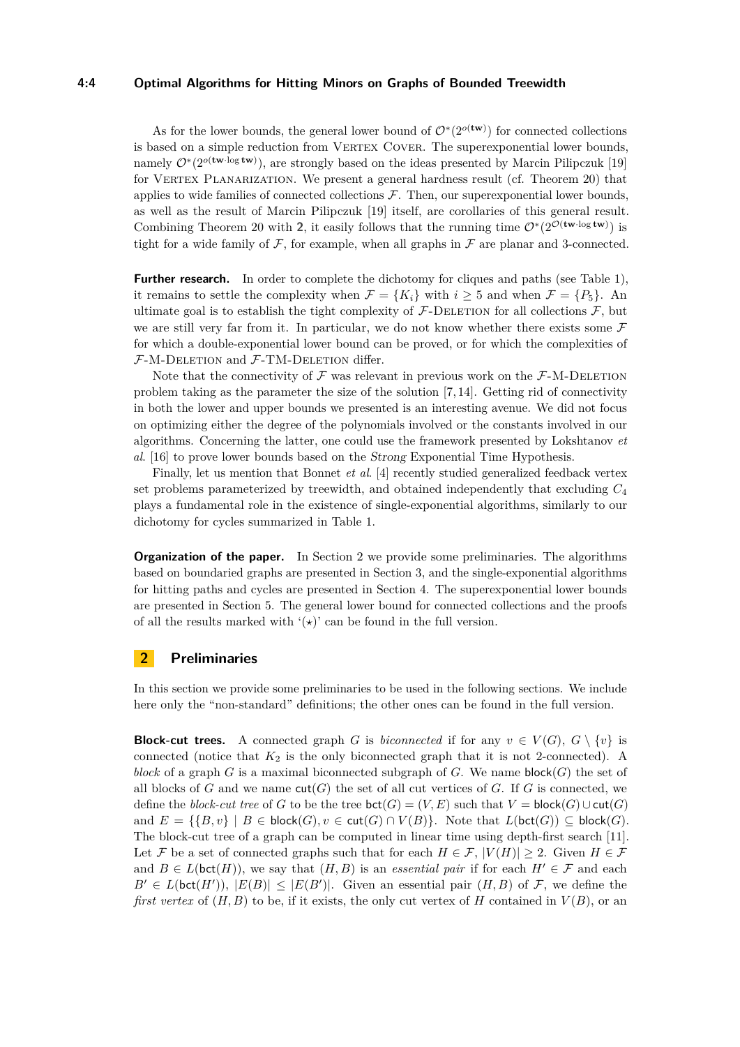## **4:4 Optimal Algorithms for Hitting Minors on Graphs of Bounded Treewidth**

As for the lower bounds, the general lower bound of  $\mathcal{O}^*(2^{o(\text{tw})})$  for connected collections is based on a simple reduction from VERTEX COVER. The superexponential lower bounds, namely  $\mathcal{O}^*(2^{o(\textbf{tw·log tw})})$ , are strongly based on the ideas presented by Marcin Pilipczuk [\[19\]](#page-11-8) for VERTEX PLANARIZATION. We present a general hardness result (cf. Theorem [20\)](#page-8-0) that applies to wide families of connected collections  $F$ . Then, our superexponential lower bounds, as well as the result of Marcin Pilipczuk [\[19\]](#page-11-8) itself, are corollaries of this general result. Combining Theorem [20](#page-8-0) with 2, it easily follows that the running time  $O^*(2^{\mathcal{O}(\text{tw-log tw})})$  is tight for a wide family of  $\mathcal F$ , for example, when all graphs in  $\mathcal F$  are planar and 3-connected.

**Further research.** In order to complete the dichotomy for cliques and paths (see Table [1\)](#page-2-0), it remains to settle the complexity when  $\mathcal{F} = \{K_i\}$  with  $i \geq 5$  and when  $\mathcal{F} = \{P_5\}$ . An ultimate goal is to establish the tight complexity of  $\mathcal{F}\text{-}\text{DELETION}$  for all collections  $\mathcal{F}$ , but we are still very far from it. In particular, we do not know whether there exists some  $\mathcal F$ for which a double-exponential lower bound can be proved, or for which the complexities of  $F-M-D\text{ELETION}$  and  $F-\text{TM-D\text{ELETION}}$  differ.

Note that the connectivity of  $\mathcal F$  was relevant in previous work on the  $\mathcal F$ -M-DELETION problem taking as the parameter the size of the solution  $[7, 14]$  $[7, 14]$ . Getting rid of connectivity in both the lower and upper bounds we presented is an interesting avenue. We did not focus on optimizing either the degree of the polynomials involved or the constants involved in our algorithms. Concerning the latter, one could use the framework presented by Lokshtanov *et al*. [\[16\]](#page-11-14) to prove lower bounds based on the Strong Exponential Time Hypothesis.

Finally, let us mention that Bonnet *et al*. [\[4\]](#page-11-15) recently studied generalized feedback vertex set problems parameterized by treewidth, and obtained independently that excluding *C*<sup>4</sup> plays a fundamental role in the existence of single-exponential algorithms, similarly to our dichotomy for cycles summarized in Table [1.](#page-2-0)

**Organization of the paper.** In Section [2](#page-3-0) we provide some preliminaries. The algorithms based on boundaried graphs are presented in Section [3,](#page-5-1) and the single-exponential algorithms for hitting paths and cycles are presented in Section [4.](#page-6-1) The superexponential lower bounds are presented in Section [5.](#page-8-1) The general lower bound for connected collections and the proofs of all the results marked with  $'(\star)$ ' can be found in the full version.

# <span id="page-3-0"></span>**2 Preliminaries**

In this section we provide some preliminaries to be used in the following sections. We include here only the "non-standard" definitions; the other ones can be found in the full version.

**Block-cut trees.** A connected graph *G* is *biconnected* if for any  $v \in V(G)$ ,  $G \setminus \{v\}$  is connected (notice that  $K_2$  is the only biconnected graph that it is not 2-connected). A *block* of a graph *G* is a maximal biconnected subgraph of *G*. We name block(*G*) the set of all blocks of  $G$  and we name  $\text{cut}(G)$  the set of all cut vertices of  $G$ . If  $G$  is connected, we define the *block-cut tree* of *G* to be the tree  $\text{bct}(G) = (V, E)$  such that  $V = \text{block}(G) \cup \text{cut}(G)$ and  $E = \{ \{B, v\} \mid B \in \mathsf{block}(G), v \in \mathsf{cut}(G) \cap V(B) \}.$  Note that  $L(\mathsf{bct}(G)) \subseteq \mathsf{block}(G).$ The block-cut tree of a graph can be computed in linear time using depth-first search [\[11\]](#page-11-16). Let F be a set of connected graphs such that for each  $H \in \mathcal{F}$ ,  $|V(H)| \geq 2$ . Given  $H \in \mathcal{F}$ and  $B \in L(\text{bct}(H))$ , we say that  $(H, B)$  is an *essential pair* if for each  $H' \in \mathcal{F}$  and each  $B' \in L(\text{bct}(H'))$ ,  $|E(B)| \leq |E(B')|$ . Given an essential pair  $(H, B)$  of F, we define the *first vertex* of  $(H, B)$  to be, if it exists, the only cut vertex of *H* contained in  $V(B)$ , or an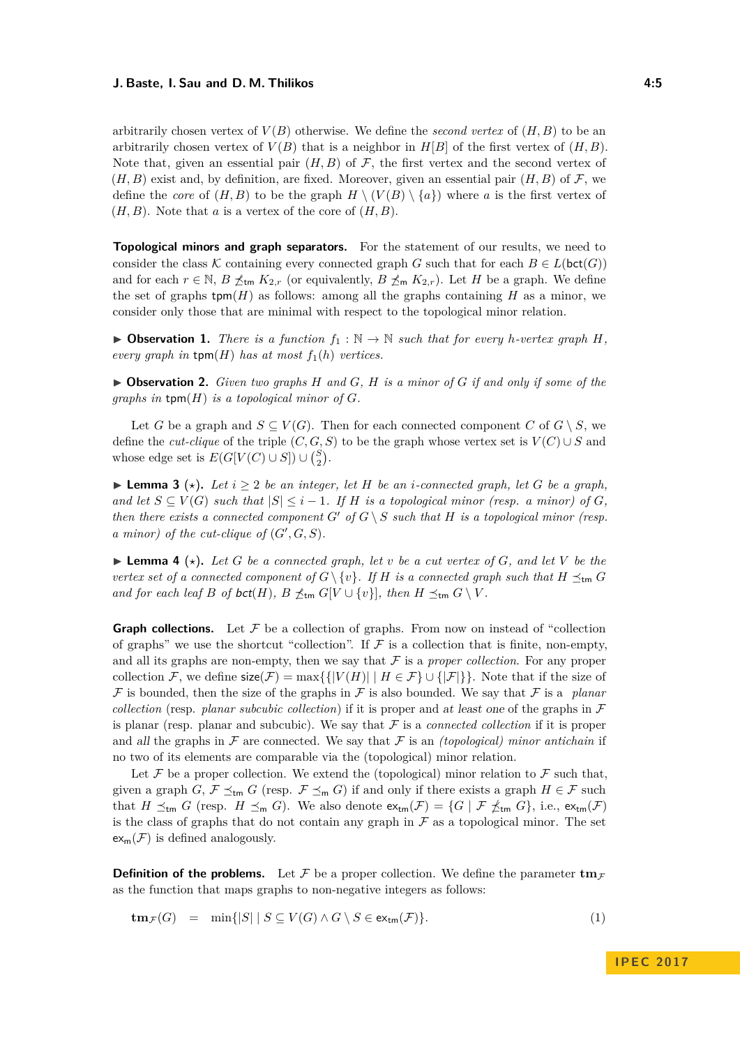arbitrarily chosen vertex of  $V(B)$  otherwise. We define the *second vertex* of  $(H, B)$  to be an arbitrarily chosen vertex of  $V(B)$  that is a neighbor in  $H[B]$  of the first vertex of  $(H, B)$ . Note that, given an essential pair  $(H, B)$  of F, the first vertex and the second vertex of  $(H, B)$  exist and, by definition, are fixed. Moreover, given an essential pair  $(H, B)$  of  $\mathcal{F}$ , we define the *core* of  $(H, B)$  to be the graph  $H \setminus (V(B) \setminus \{a\})$  where a is the first vertex of  $(H, B)$ . Note that *a* is a vertex of the core of  $(H, B)$ .

**Topological minors and graph separators.** For the statement of our results, we need to consider the class K containing every connected graph G such that for each  $B \in L(\text{bct}(G))$ and for each  $r \in \mathbb{N}$ ,  $B \nleq_{\text{tm}} K_{2,r}$  (or equivalently,  $B \nleq_{\text{tm}} K_{2,r}$ ). Let *H* be a graph. We define the set of graphs  $\tt{tpm}(H)$  as follows: among all the graphs containing *H* as a minor, we consider only those that are minimal with respect to the topological minor relation.

<span id="page-4-1"></span> $\triangleright$  **Observation 1.** *There is a function*  $f_1 : \mathbb{N} \to \mathbb{N}$  *such that for every h-vertex graph H*, *every graph in*  $\text{tpm}(H)$  *has at most*  $f_1(h)$  *vertices.* 

<span id="page-4-0"></span> $\triangleright$  **Observation 2.** *Given two graphs H and G*, *H is a minor of G if and only if some of the graphs in*  $\text{tpm}(H)$  *is a topological minor of G.* 

Let *G* be a graph and  $S \subseteq V(G)$ . Then for each connected component *C* of  $G \setminus S$ , we define the *cut-clique* of the triple  $(C, G, S)$  to be the graph whose vertex set is  $V(C) \cup S$  and whose edge set is  $E(G[V(C) \cup S]) \cup {S \choose 2}$ .

▶ **Lemma 3** ( $\star$ ). Let  $i \geq 2$  *be an integer, let H be an i-connected graph, let G be a graph*, *and let*  $S \subseteq V(G)$  *such that*  $|S| \leq i - 1$ *. If H is a topological minor (resp. a minor) of G*, *then there exists a connected component*  $G'$  of  $G \setminus S$  *such that*  $H$  *is a topological minor (resp.*  $\alpha$  minor) of the cut-clique of  $(G', G, S)$ .

 $\blacktriangleright$  **Lemma 4** ( $\star$ ). Let G be a connected graph, let v be a cut vertex of G, and let V be the *vertex set of a connected component of*  $G \setminus \{v\}$ *. If H is a connected graph such that*  $H \preceq_{\sf tm} G$ *and for each leaf B of bct*(*H*)*,*  $B \npreceq_{\text{tm}} G[V \cup \{v\}]$ *, then*  $H \preceq_{\text{tm}} G \setminus V$ *.* 

**Graph collections.** Let  $\mathcal F$  be a collection of graphs. From now on instead of "collection" of graphs" we use the shortcut "collection". If  $\mathcal F$  is a collection that is finite, non-empty, and all its graphs are non-empty, then we say that  $\mathcal F$  is a *proper collection*. For any proper collection F, we define  $\text{size}(\mathcal{F}) = \max\{\{|V(H)| \mid H \in \mathcal{F}\}\cup\{|F|\}\}\.$  Note that if the size of F is bounded, then the size of the graphs in F is also bounded. We say that F is a *planar collection* (resp. *planar subcubic collection*) if it is proper and at least one of the graphs in  $\mathcal F$ is planar (resp. planar and subcubic). We say that  $\mathcal F$  is a *connected collection* if it is proper and all the graphs in  $\mathcal F$  are connected. We say that  $\mathcal F$  is an *(topological) minor antichain* if no two of its elements are comparable via the (topological) minor relation.

Let F be a proper collection. We extend the (topological) minor relation to F such that, given a graph *G*,  $\mathcal{F} \preceq_{\sf tm} G$  (resp.  $\mathcal{F} \preceq_{\sf m} G$ ) if and only if there exists a graph  $H \in \mathcal{F}$  such that  $H \preceq_{\sf tm} G$  (resp.  $H \preceq_{\sf m} G$ ). We also denote  $\mathsf{ex}_{\sf tm}(\mathcal{F}) = \{G \mid \mathcal{F} \npreceq_{\sf tm} G\}$ , i.e.,  $\mathsf{ex}_{\sf tm}(\mathcal{F})$ is the class of graphs that do not contain any graph in  $\mathcal F$  as a topological minor. The set  $ex_{m}(\mathcal{F})$  is defined analogously.

**Definition of the problems.** Let F be a proper collection. We define the parameter  $\mathbf{tm}_F$ as the function that maps graphs to non-negative integers as follows:

$$
tm_{\mathcal{F}}(G) = \min\{|S| \mid S \subseteq V(G) \land G \setminus S \in ex_{tm}(\mathcal{F})\}.
$$
\n(1)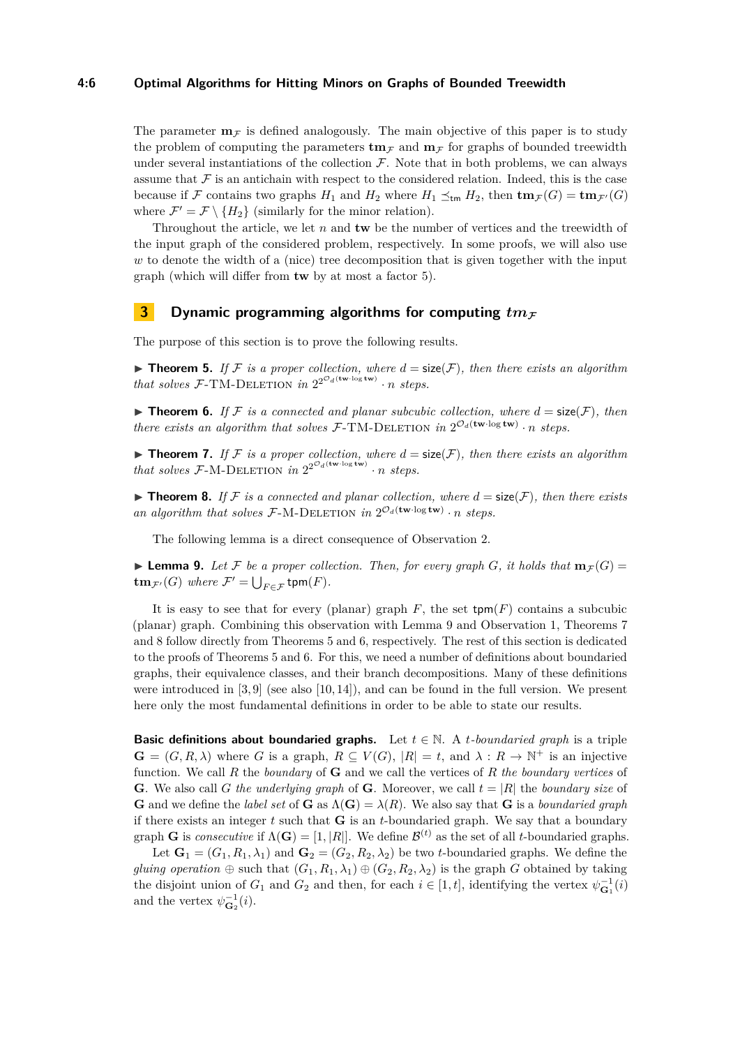## **4:6 Optimal Algorithms for Hitting Minors on Graphs of Bounded Treewidth**

The parameter  $\mathbf{m}_F$  is defined analogously. The main objective of this paper is to study the problem of computing the parameters  $\mathbf{tm}_F$  and  $\mathbf{m}_F$  for graphs of bounded treewidth under several instantiations of the collection  $\mathcal F$ . Note that in both problems, we can always assume that  $\mathcal F$  is an antichain with respect to the considered relation. Indeed, this is the case because if F contains two graphs  $H_1$  and  $H_2$  where  $H_1 \preceq_{\text{tm}} H_2$ , then  $\text{tm}_{\mathcal{F}}(G) = \text{tm}_{\mathcal{F}'}(G)$ where  $\mathcal{F}' = \mathcal{F} \setminus \{H_2\}$  (similarly for the minor relation).

Throughout the article, we let *n* and **tw** be the number of vertices and the treewidth of the input graph of the considered problem, respectively. In some proofs, we will also use *w* to denote the width of a (nice) tree decomposition that is given together with the input graph (which will differ from **tw** by at most a factor 5).

# <span id="page-5-1"></span>**3 Dynamic programming algorithms for computing**  $tm_{\mathcal{F}}$

The purpose of this section is to prove the following results.

<span id="page-5-4"></span>**Figure 1 Figure 1 5.** *If* F is a proper collection, where  $d = \text{size}(\mathcal{F})$ , then there exists an algorithm *that solves*  $\mathcal{F}\text{-}TM\text{-}DELETION$  *in*  $2^{2^{\mathcal{O}_d(\text{tw-log tw)}}}\cdot n$  *steps.* 

<span id="page-5-5"></span> $\blacktriangleright$  **Theorem 6.** If F is a connected and planar subcubic collection, where  $d = \text{size}(\mathcal{F})$ , then *there exists an algorithm that solves*  $\mathcal{F}\text{-}TM\text{-}DELETION$  *in*  $2^{\mathcal{O}_d(\mathbf{tw}\cdot\log\mathbf{tw})}\cdot n$  *steps.* 

<span id="page-5-2"></span>**Theorem 7.** If F is a proper collection, where  $d = \text{size}(\mathcal{F})$ , then there exists an algorithm *that solves*  $\mathcal{F}\text{-}\mathrm{M}\text{-}\mathrm{DELETION}$  *in*  $2^{2^{\mathcal{O}_d(\text{tw-log tw)}}}\cdot n$  *steps.* 

<span id="page-5-3"></span> $\triangleright$  **Theorem 8.** If F is a connected and planar collection, where  $d = \text{size}(\mathcal{F})$ , then there exists an algorithm that solves  $\mathcal{F}\text{-}\mathrm{M}\text{-}\mathrm{DELETION}$  in  $2^{\mathcal{O}_d(\mathbf{tw}\cdot\log\mathbf{tw})}\cdot n$  steps.

The following lemma is a direct consequence of Observation [2.](#page-4-0)

<span id="page-5-0"></span>**Lemma 9.** Let F be a proper collection. Then, for every graph G, it holds that  $\mathbf{m}_{\mathcal{F}}(G)$  =  $\textrm{tm}_{\mathcal{F}'}(G)$  *where*  $\mathcal{F}' = \bigcup_{F \in \mathcal{F}} \textrm{tpm}(F)$ *.* 

It is easy to see that for every (planar) graph  $F$ , the set  $\text{tpm}(F)$  contains a subcubic (planar) graph. Combining this observation with Lemma [9](#page-5-0) and Observation [1,](#page-4-1) Theorems [7](#page-5-2) and [8](#page-5-3) follow directly from Theorems [5](#page-5-4) and [6,](#page-5-5) respectively. The rest of this section is dedicated to the proofs of Theorems [5](#page-5-4) and [6.](#page-5-5) For this, we need a number of definitions about boundaried graphs, their equivalence classes, and their branch decompositions. Many of these definitions were introduced in  $[3, 9]$  $[3, 9]$  (see also  $[10, 14]$  $[10, 14]$ ), and can be found in the full version. We present here only the most fundamental definitions in order to be able to state our results.

**Basic definitions about boundaried graphs.** Let  $t \in \mathbb{N}$ . A *t*-boundaried graph is a triple  $\mathbf{G} = (G, R, \lambda)$  where *G* is a graph,  $R \subseteq V(G)$ ,  $|R| = t$ , and  $\lambda : R \to \mathbb{N}^+$  is an injective function. We call *R* the *boundary* of **G** and we call the vertices of *R the boundary vertices* of **G**. We also call *G* the underlying graph of **G**. Moreover, we call  $t = |R|$  the *boundary size* of **G** and we define the *label set* of **G** as  $\Lambda$ (**G**) =  $\lambda$ (*R*). We also say that **G** is a *boundaried graph* if there exists an integer *t* such that **G** is an *t*-boundaried graph. We say that a boundary graph **G** is *consecutive* if  $\Lambda(\mathbf{G}) = [1, |R|]$ . We define  $\mathcal{B}^{(t)}$  as the set of all *t*-boundaried graphs.

Let  $\mathbf{G}_1 = (G_1, R_1, \lambda_1)$  and  $\mathbf{G}_2 = (G_2, R_2, \lambda_2)$  be two *t*-boundaried graphs. We define the *gluing operation*  $\oplus$  such that  $(G_1, R_1, \lambda_1) \oplus (G_2, R_2, \lambda_2)$  is the graph *G* obtained by taking the disjoint union of  $G_1$  and  $G_2$  and then, for each  $i \in [1, t]$ , identifying the vertex  $\psi_{\mathbf{G}_1}^{-1}(i)$ and the vertex  $\psi_{\mathbf{G}_2}^{-1}(i)$ .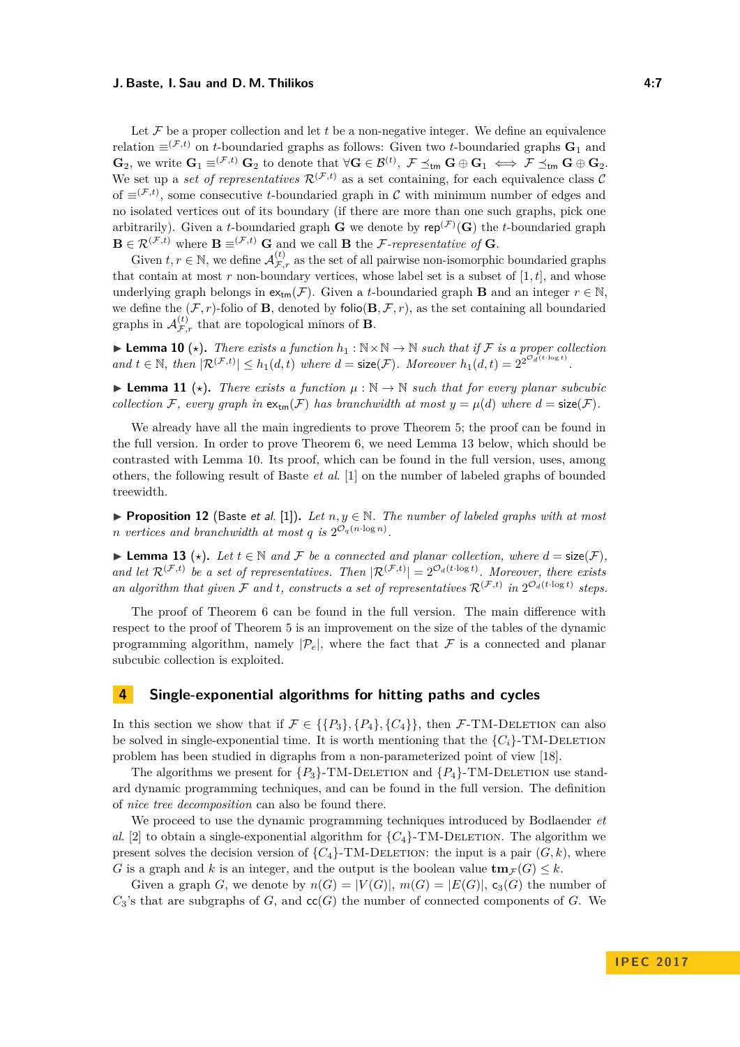Let  $\mathcal F$  be a proper collection and let  $t$  be a non-negative integer. We define an equivalence relation  $\equiv$ <sup>(F,t)</sup> on *t*-boundaried graphs as follows: Given two *t*-boundaried graphs **G**<sub>1</sub> and  $\mathbf{G}_2$ , we write  $\mathbf{G}_1 \equiv^{(\mathcal{F},t)} \mathbf{G}_2$  to denote that  $\forall \mathbf{G} \in \mathcal{B}^{(t)}, \ \mathcal{F} \preceq_{\mathsf{tm}} \mathbf{G} \oplus \mathbf{G}_1 \iff \mathcal{F} \preceq_{\mathsf{tm}} \mathbf{G} \oplus \mathbf{G}_2$ . We set up a *set of representatives*  $\mathcal{R}^{(\mathcal{F},t)}$  as a set containing, for each equivalence class C of  $\equiv^{(\mathcal{F},t)}$ , some consecutive *t*-boundaried graph in C with minimum number of edges and no isolated vertices out of its boundary (if there are more than one such graphs, pick one arbitrarily). Given a *t*-boundaried graph **G** we denote by  $\mathsf{rep}^{(\mathcal{F})}(\mathbf{G})$  the *t*-boundaried graph  $\mathbf{B} \in \mathcal{R}^{(\mathcal{F},t)}$  where  $\mathbf{B} \equiv^{(\mathcal{F},t)} \mathbf{G}$  and we call  $\mathbf{B}$  the *F*-representative of **G**.

Given  $t, r \in \mathbb{N}$ , we define  $\mathcal{A}_{\mathcal{F},r}^{(t)}$  as the set of all pairwise non-isomorphic boundaried graphs that contain at most  $r$  non-boundary vertices, whose label set is a subset of  $[1, t]$ , and whose underlying graph belongs in  $ex_{tm}(\mathcal{F})$ . Given a *t*-boundaried graph **B** and an integer  $r \in \mathbb{N}$ , we define the  $(F, r)$ -folio of **B**, denoted by folio $(\mathbf{B}, \mathcal{F}, r)$ , as the set containing all boundaried graphs in  $\mathcal{A}^{(t)}_{\mathcal{F},r}$  that are topological minors of **B**.

<span id="page-6-3"></span>**► Lemma 10** ( $\star$ ). *There exists a function*  $h_1 : \mathbb{N} \times \mathbb{N} \to \mathbb{N}$  *such that if* F *is a proper collection and*  $t \in \mathbb{N}$ , *then*  $|\mathcal{R}^{(\mathcal{F},t)}| \leq h_1(d,t)$  *where*  $d = \text{size}(\mathcal{F})$ *. Moreover*  $h_1(d,t) = 2^{2^{\mathcal{O}_d(t \cdot \log t)}}$ *.* 

<span id="page-6-0"></span>**Lemma 11** ( $\star$ ). There exists a function  $\mu : \mathbb{N} \to \mathbb{N}$  such that for every planar subcubic *collection* F, every graph in  $ext{ex}_{tm}(\mathcal{F})$  has branchwidth at most  $y = \mu(d)$  where  $d = \text{size}(\mathcal{F})$ .

We already have all the main ingredients to prove Theorem [5;](#page-5-4) the proof can be found in the full version. In order to prove Theorem [6,](#page-5-5) we need Lemma [13](#page-6-2) below, which should be contrasted with Lemma [10.](#page-6-3) Its proof, which can be found in the full version, uses, among others, the following result of Baste *et al*. [\[1\]](#page-10-2) on the number of labeled graphs of bounded treewidth.

**Proposition 12** (Baste et al. [\[1\]](#page-10-2)). Let  $n, y \in \mathbb{N}$ . The number of labeled graphs with at most *n* vertices and branchwidth at most  $q$  is  $2^{\mathcal{O}_q(n \cdot \log n)}$ .

<span id="page-6-2"></span>▶ **Lemma 13** ( $\star$ ). Let  $t \in \mathbb{N}$  and F be a connected and planar collection, where  $d = \text{size}(\mathcal{F})$ *,* and let  $\mathcal{R}^{(\mathcal{F},t)}$  be a set of representatives. Then  $|\mathcal{R}^{(\mathcal{F},t)}| = 2^{\mathcal{O}_d(t\cdot \log t)}$ . Moreover, there exists an algorithm that given F and t, constructs a set of representatives  $\mathcal{R}^{(\mathcal{F},t)}$  in  $2^{\mathcal{O}_d(t \cdot \log t)}$  steps.

The proof of Theorem [6](#page-5-5) can be found in the full version. The main difference with respect to the proof of Theorem [5](#page-5-4) is an improvement on the size of the tables of the dynamic programming algorithm, namely  $|\mathcal{P}_e|$ , where the fact that  $\mathcal F$  is a connected and planar subcubic collection is exploited.

## <span id="page-6-1"></span>**4 Single-exponential algorithms for hitting paths and cycles**

In this section we show that if  $\mathcal{F} \in \{ \{P_3\}, \{P_4\}, \{C_4\} \}$ , then  $\mathcal{F}\text{-TM-DELETION}$  can also be solved in single-exponential time. It is worth mentioning that the  ${C_i}$ -TM-DELETION problem has been studied in digraphs from a non-parameterized point of view [\[18\]](#page-11-17).

The algorithms we present for  ${P_3}$ -TM-DELETION and  ${P_4}$ -TM-DELETION use standard dynamic programming techniques, and can be found in the full version. The definition of *nice tree decomposition* can also be found there.

We proceed to use the dynamic programming techniques introduced by Bodlaender *et al.* [\[2\]](#page-10-0) to obtain a single-exponential algorithm for  ${C_4}$ -TM-DELETION. The algorithm we present solves the decision version of  ${C_4}$ -TM-DELETION: the input is a pair  $(G, k)$ , where *G* is a graph and *k* is an integer, and the output is the boolean value  $\mathbf{tm}_{\mathcal{F}}(G) \leq k$ .

Given a graph *G*, we denote by  $n(G) = |V(G)|$ ,  $m(G) = |E(G)|$ ,  $c_3(G)$  the number of  $C_3$ 's that are subgraphs of *G*, and  $cc(G)$  the number of connected components of *G*. We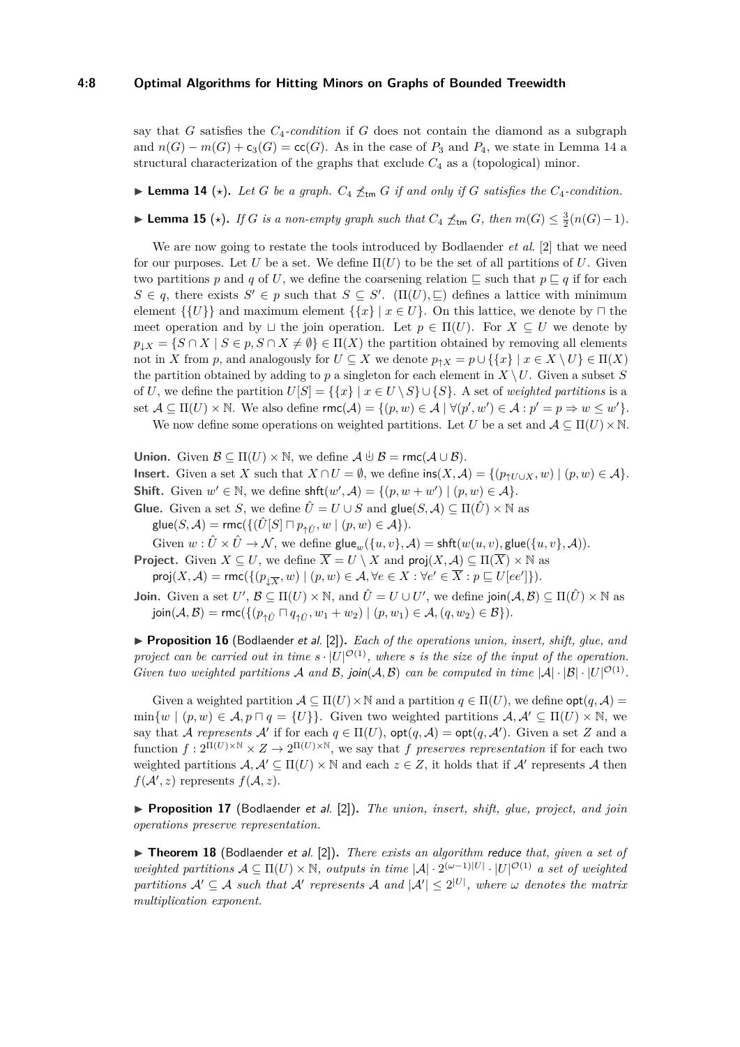## **4:8 Optimal Algorithms for Hitting Minors on Graphs of Bounded Treewidth**

say that *G* satisfies the *C*4*-condition* if *G* does not contain the diamond as a subgraph and  $n(G) - m(G) + c_3(G) = \text{cc}(G)$ . As in the case of  $P_3$  and  $P_4$ , we state in Lemma [14](#page-7-0) a structural characterization of the graphs that exclude *C*<sup>4</sup> as a (topological) minor.

<span id="page-7-0"></span> $\blacktriangleright$  **Lemma 14** ( $\star$ ). Let *G* be a graph.  $C_4 \npreceq_{\sf tm} G$  if and only if *G* satisfies the  $C_4$ -condition.

<span id="page-7-1"></span>► **Lemma 15** ( $\star$ ). If *G* is a non-empty graph such that  $C_4 \npreceq_{\sf tm} G$ , then  $m(G) \leq \frac{3}{2}(n(G)-1)$ .

We are now going to restate the tools introduced by Bodlaender *et al*. [\[2\]](#page-10-0) that we need for our purposes. Let  $U$  be a set. We define  $\Pi(U)$  to be the set of all partitions of  $U$ . Given two partitions p and q of U, we define the coarsening relation  $\subseteq$  such that  $p \sqsubseteq q$  if for each  $S \in q$ , there exists  $S' \in p$  such that  $S \subseteq S'$ . ( $\Pi(U)$ *,*  $\sqsubseteq$ ) defines a lattice with minimum element  $\{\{U\}\}\$ and maximum element  $\{\{x\} \mid x \in U\}$ . On this lattice, we denote by  $\sqcap$  the meet operation and by  $\sqcup$  the join operation. Let  $p \in \Pi(U)$ . For  $X \subseteq U$  we denote by  $p_{\downarrow}$ *X* = {*S* ∩ *X* | *S* ∈ *p*, *S* ∩ *X*  $\neq$  *Ø*} ∈  $\Pi$ (*X*) the partition obtained by removing all elements not in *X* from *p*, and analogously for  $U \subseteq X$  we denote  $p_{\uparrow}X = p \cup \{\{x\} \mid x \in X \setminus U\} \in \Pi(X)$ the partition obtained by adding to *p* a singleton for each element in  $X \setminus U$ . Given a subset *S* of *U*, we define the partition  $U[S] = \{\{x\} \mid x \in U \setminus S\} \cup \{S\}$ . A set of *weighted partitions* is a set  $\mathcal{A} \subseteq \Pi(U) \times \mathbb{N}$ . We also define  $\mathsf{rmc}(\mathcal{A}) = \{(p, w) \in \mathcal{A} \mid \forall (p', w') \in \mathcal{A} : p' = p \Rightarrow w \leq w'\}.$ 

We now define some operations on weighted partitions. Let *U* be a set and  $\mathcal{A} \subseteq \Pi(U) \times \mathbb{N}$ .

**Union.** Given  $\mathcal{B} \subseteq \Pi(U) \times \mathbb{N}$ , we define  $\mathcal{A} \cup \mathcal{B} = \text{rmc}(\mathcal{A} \cup \mathcal{B})$ . **Insert.** Given a set *X* such that  $X \cap U = \emptyset$ , we define  $\text{ins}(X, \mathcal{A}) = \{ (p_{\uparrow U \cup X}, w) \mid (p, w) \in \mathcal{A} \}.$ **Shift.** Given  $w' \in \mathbb{N}$ , we define  $\text{shft}(w', \mathcal{A}) = \{(p, w + w') \mid (p, w) \in \mathcal{A}\}.$ 

**Glue.** Given a set *S*, we define  $\hat{U} = U \cup S$  and  $\text{glue}(S, \mathcal{A}) \subseteq \Pi(\hat{U}) \times \mathbb{N}$  as  $\mathsf{glue}(S, \mathcal{A}) = \mathsf{rmc}(\{(\hat{U}[S] \sqcap p_{\uparrow \hat{U}}, w \mid (p, w) \in \mathcal{A}\}).$ 

Given  $w : \hat{U} \times \hat{U} \to \mathcal{N}$ , we define  $\textsf{glue}_w(\{u, v\}, \mathcal{A}) = \textsf{shft}(w(u, v), \textsf{glue}(\{u, v\}, \mathcal{A})).$ 

**Project.** Given  $X \subseteq U$ , we define  $\overline{X} = U \setminus X$  and  $proj(X, \mathcal{A}) \subseteq \Pi(\overline{X}) \times \mathbb{N}$  as  $\mathsf{proj}(X, \mathcal{A}) = \mathsf{rmc}(\{ (p_{\downarrow \overline{X}}, w) \mid (p, w) \in \mathcal{A}, \forall e \in X : \forall e' \in \overline{X} : p \sqsubseteq U[ee'] \}).$ 

**Join.** Given a set  $U'$ ,  $\mathcal{B} \subseteq \Pi(U) \times \mathbb{N}$ , and  $\hat{U} = U \cup U'$ , we define join $(\mathcal{A}, \mathcal{B}) \subseteq \Pi(\hat{U}) \times \mathbb{N}$  as  $j\text{oin}(\mathcal{A}, \mathcal{B}) = \text{rmc}(\{(p_{\uparrow \hat{U}} \sqcap q_{\uparrow \hat{U}}, w_1 + w_2) \mid (p, w_1) \in \mathcal{A}, (q, w_2) \in \mathcal{B}\}).$ 

▶ **Proposition 16** (Bodlaender et al. [\[2\]](#page-10-0)). *Each of the operations union, insert, shift, glue, and project can be carried out in time*  $s \cdot |U|^{\mathcal{O}(1)}$ , where *s is the size of the input of the operation. Given two weighted partitions* A and B, join(A, B) can be computed in time  $|A| \cdot |B| \cdot |U|^{O(1)}$ .

Given a weighted partition  $A \subseteq \Pi(U) \times \mathbb{N}$  and a partition  $q \in \Pi(U)$ , we define  $\text{opt}(q, \mathcal{A}) =$  $\min\{w \mid (p,w) \in A, p \sqcap q = \{U\}\}\.$  Given two weighted partitions  $A, A' \subseteq \Pi(U) \times \mathbb{N}$ , we say that A represents A' if for each  $q \in \Pi(U)$ ,  $\text{opt}(q, \mathcal{A}) = \text{opt}(q, \mathcal{A}')$ . Given a set Z and a function  $f: 2^{\Pi(U)\times \mathbb{N}} \times Z \to 2^{\Pi(U)\times \mathbb{N}}$ , we say that *f* preserves representation if for each two weighted partitions  $A, A' \subseteq \Pi(U) \times \mathbb{N}$  and each  $z \in Z$ , it holds that if  $A'$  represents  $A$  then  $f(A', z)$  represents  $f(A, z)$ .

▶ **Proposition 17** (Bodlaender et al. [\[2\]](#page-10-0)). *The union, insert, shift, glue, project, and join operations preserve representation.*

▶ **Theorem 18** (Bodlaender et al. [\[2\]](#page-10-0)). *There exists an algorithm reduce that, given a set of weighted partitions*  $\mathcal{A} \subseteq \Pi(U) \times \mathbb{N}$ , *outputs in time*  $|\mathcal{A}| \cdot 2^{(\omega-1)|U|} \cdot |U|^{\mathcal{O}(1)}$  *a set of weighted*  $partitions \mathcal{A}' \subseteq \mathcal{A}$  such that  $\mathcal{A}'$  represents  $\mathcal{A}$  and  $|\mathcal{A}'| \leq 2^{|U|}$ , where  $\omega$  denotes the matrix *multiplication exponent.*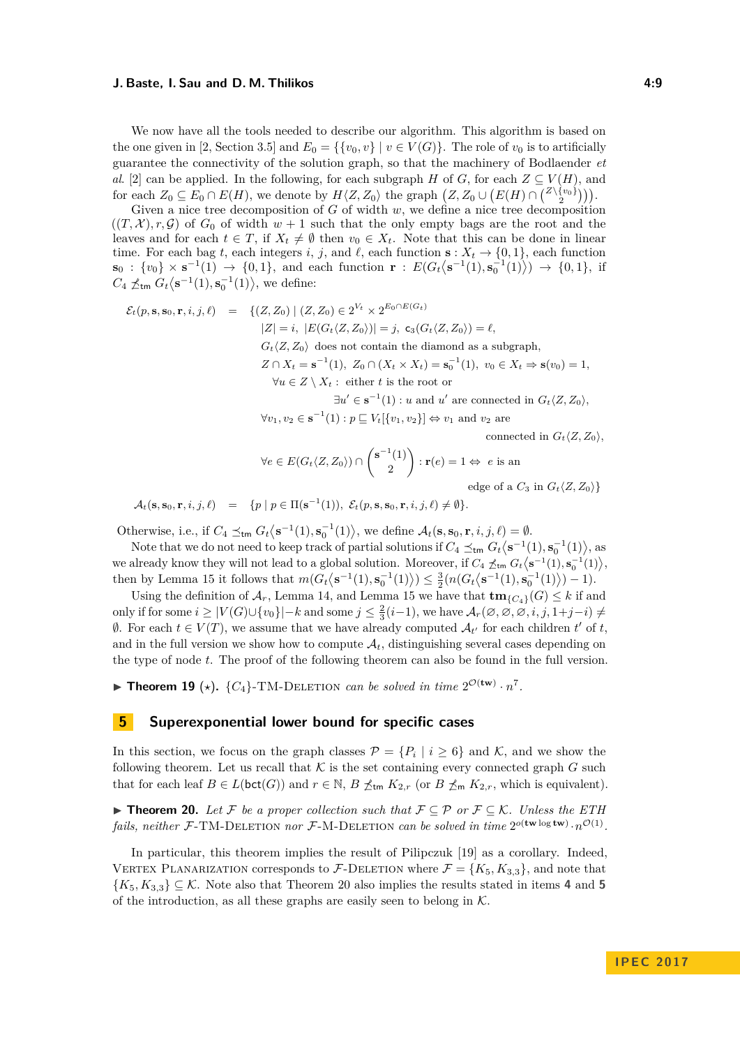We now have all the tools needed to describe our algorithm. This algorithm is based on the one given in [\[2,](#page-10-0) Section 3.5] and  $E_0 = \{ \{v_0, v\} \mid v \in V(G) \}$ . The role of  $v_0$  is to artificially guarantee the connectivity of the solution graph, so that the machinery of Bodlaender *et al*. [\[2\]](#page-10-0) can be applied. In the following, for each subgraph *H* of *G*, for each  $Z \subseteq V(H)$ , and for each  $Z_0 \subseteq E_0 \cap E(H)$ , we denote by  $H\langle Z, Z_0 \rangle$  the graph  $(Z, Z_0 \cup (E(H) \cap {\binom{Z\setminus \{v_0\}}{2}})$ .

Given a nice tree decomposition of *G* of width *w*, we define a nice tree decomposition  $((T, \mathcal{X}), r, \mathcal{G})$  of  $G_0$  of width  $w + 1$  such that the only empty bags are the root and the leaves and for each  $t \in T$ , if  $X_t \neq \emptyset$  then  $v_0 \in X_t$ . Note that this can be done in linear time. For each bag *t*, each integers *i*, *j*, and  $\ell$ , each function **s** :  $X_t \to \{0, 1\}$ , each function  $\mathbf{s}_0 : \{v_0\} \times \mathbf{s}^{-1}(1) \to \{0,1\}$ , and each function  $\mathbf{r} : E(G_t \langle \mathbf{s}^{-1}(1), \mathbf{s}_0^{-1}(1) \rangle) \to \{0,1\}$ , if  $C_4 \npreceq_{\text{tm}} G_t \langle \mathbf{s}^{-1}(1), \mathbf{s}_0^{-1}(1) \rangle$ , we define:

$$
\mathcal{E}_t(p, \mathbf{s}, \mathbf{s}_0, \mathbf{r}, i, j, \ell) = \{ (Z, Z_0) \mid (Z, Z_0) \in 2^{V_t} \times 2^{E_0 \cap E(G_t)}
$$
  
\n
$$
|Z| = i, |E(G_t \langle Z, Z_0) \rangle| = j, \ \mathbf{c}_3(G_t \langle Z, Z_0 \rangle) = \ell,
$$
  
\n
$$
G_t \langle Z, Z_0 \rangle \text{ does not contain the diamond as a subgraph,}
$$
  
\n
$$
Z \cap X_t = \mathbf{s}^{-1}(1), \ Z_0 \cap (X_t \times X_t) = \mathbf{s}_0^{-1}(1), \ v_0 \in X_t \Rightarrow \mathbf{s}(v_0) = 1,
$$
  
\n
$$
\forall u \in Z \setminus X_t : \text{ either } t \text{ is the root or}
$$
  
\n
$$
\exists u' \in \mathbf{s}^{-1}(1) : u \text{ and } u' \text{ are connected in } G_t \langle Z, Z_0 \rangle,
$$
  
\n
$$
\forall v_1, v_2 \in \mathbf{s}^{-1}(1) : p \sqsubseteq V_t [\{v_1, v_2\}] \Leftrightarrow v_1 \text{ and } v_2 \text{ are}
$$
  
\nconnected in  $G_t \langle Z, Z_0 \rangle$ ,

$$
\forall e \in E(G_t \langle Z, Z_0 \rangle) \cap \binom{\mathbf{s}^{-1}(1)}{2} : \mathbf{r}(e) = 1 \Leftrightarrow e \text{ is an}
$$

edge of a  $C_3$  in  $G_t \langle Z, Z_0 \rangle$ 

 $\mathcal{A}_t(\mathbf{s}, \mathbf{s}_0, \mathbf{r}, i, j, \ell) = \{p \mid p \in \Pi(\mathbf{s}^{-1}(1)), \; \mathcal{E}_t(p, \mathbf{s}, \mathbf{s}_0, \mathbf{r}, i, j, \ell) \neq \emptyset\}.$ 

Otherwise, i.e., if  $C_4 \leq_{\text{tm}} G_t \left\langle \mathbf{s}^{-1}(1), \mathbf{s}_0^{-1}(1) \right\rangle$ , we define  $\mathcal{A}_t(\mathbf{s}, \mathbf{s}_0, \mathbf{r}, i, j, \ell) = \emptyset$ .

Note that we do not need to keep track of partial solutions if  $C_4 \leq_{\text{tm}} G_t \langle \mathbf{s}^{-1}(1), \mathbf{s}_0^{-1}(1) \rangle$ , as we already know they will not lead to a global solution. Moreover, if  $C_4 \npreceq_{\text{tm}} G_t \langle s^{-1}(1), s_0^{-1}(1) \rangle$ , then by Lemma [15](#page-7-1) it follows that  $m(G_t \langle s^{-1}(1), s_0^{-1}(1) \rangle) \leq \frac{3}{2} (n(G_t \langle s^{-1}(1), s_0^{-1}(1) \rangle) - 1)$ .

Using the definition of  $\mathcal{A}_r$ , Lemma [14,](#page-7-0) and Lemma [15](#page-7-1) we have that  $\mathbf{tm}_{\{C_4\}}(G) \leq k$  if and only if for some  $i \ge |V(G) \cup \{v_0\}| - k$  and some  $j \le \frac{2}{3}(i-1)$ , we have  $\mathcal{A}_r(\emptyset, \emptyset, \emptyset, i, j, 1+j-i)$  ≠  $\emptyset$ . For each *t* ∈ *V*(*T*), we assume that we have already computed  $A_t$  for each children *t*' of *t*, and in the full version we show how to compute  $A_t$ , distinguishing several cases depending on the type of node *t*. The proof of the following theorem can also be found in the full version.

**Fineorem 19** ( $\star$ ).  $\{C_4\}$ -TM-DELETION *can be solved in time*  $2^{\mathcal{O}(\mathbf{tw})} \cdot n^7$ .

## <span id="page-8-1"></span>**5 Superexponential lower bound for specific cases**

In this section, we focus on the graph classes  $\mathcal{P} = \{P_i \mid i \geq 6\}$  and K, and we show the following theorem. Let us recall that  $K$  is the set containing every connected graph  $G$  such that for each leaf  $B \in L(\text{bct}(G))$  and  $r \in \mathbb{N}$ ,  $B \npreceq_{\text{tm}} K_{2,r}$  (or  $B \npreceq_{\text{tm}} K_{2,r}$ , which is equivalent).

<span id="page-8-0"></span>**► Theorem 20.** Let F be a proper collection such that  $\mathcal{F} \subseteq \mathcal{P}$  or  $\mathcal{F} \subseteq \mathcal{K}$ . Unless the ETH *fails, neither* F-TM-DELETION *nor* F-M-DELETION *can be solved in time*  $2^{o(\text{tw log tw})} \cdot n^{\mathcal{O}(1)}$ .

In particular, this theorem implies the result of Pilipczuk [\[19\]](#page-11-8) as a corollary. Indeed, VERTEX PLANARIZATION corresponds to  $\mathcal{F}\text{-}\text{DELETION}$  where  $\mathcal{F} = \{K_5, K_{3,3}\}\$ , and note that  ${K_5, K_{3,3}} \subseteq \mathcal{K}$ . Note also that Theorem [20](#page-8-0) also implies the results stated in items 4 and 5 of the introduction, as all these graphs are easily seen to belong in  $K$ .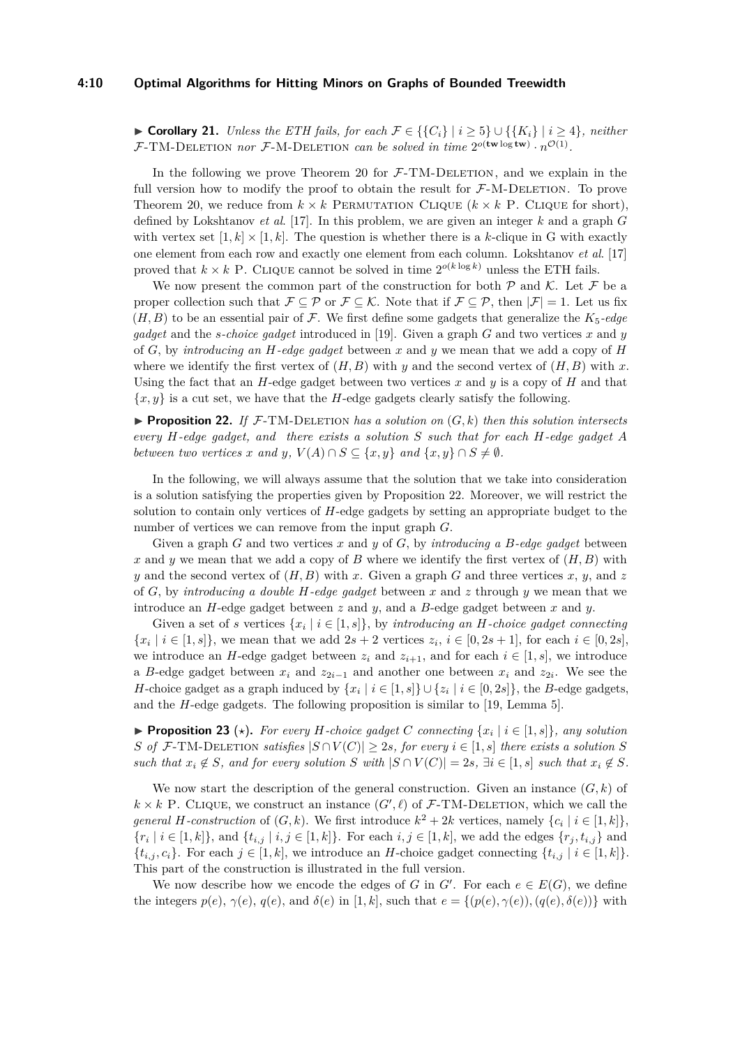## **4:10 Optimal Algorithms for Hitting Minors on Graphs of Bounded Treewidth**

► **Corollary 21.** *Unless the ETH fails, for each*  $\mathcal{F} \in \{ \{C_i\} \mid i \geq 5 \} \cup \{ \{K_i\} \mid i \geq 4 \}$ *, neither* F-TM-DELETION *nor* F-M-DELETION *can be solved in time*  $2^{o(\text{tw}\log{\text{tw}})} \cdot n^{\mathcal{O}(1)}$ .

In the following we prove Theorem [20](#page-8-0) for  $\mathcal{F}\text{-}TM\text{-}DE\text{LETION}$ , and we explain in the full version how to modify the proof to obtain the result for  $\mathcal{F}\text{-M-DELETION}$ . To prove Theorem [20,](#page-8-0) we reduce from  $k \times k$  PERMUTATION CLIQUE  $(k \times k)$  P. CLIQUE for short), defined by Lokshtanov *et al*. [\[17\]](#page-11-9). In this problem, we are given an integer *k* and a graph *G* with vertex set  $[1, k] \times [1, k]$ . The question is whether there is a *k*-clique in G with exactly one element from each row and exactly one element from each column. Lokshtanov *et al*. [\[17\]](#page-11-9) proved that  $k \times k$  P. CLIQUE cannot be solved in time  $2^{o(k \log k)}$  unless the ETH fails.

We now present the common part of the construction for both  $P$  and K. Let  $\mathcal F$  be a proper collection such that  $\mathcal{F} \subseteq \mathcal{P}$  or  $\mathcal{F} \subseteq \mathcal{K}$ . Note that if  $\mathcal{F} \subseteq \mathcal{P}$ , then  $|\mathcal{F}| = 1$ . Let us fix  $(H, B)$  to be an essential pair of F. We first define some gadgets that generalize the  $K_5$ -edge *gadget* and the *s-choice gadget* introduced in [\[19\]](#page-11-8). Given a graph *G* and two vertices *x* and *y* of *G*, by *introducing an H-edge gadget* between *x* and *y* we mean that we add a copy of *H* where we identify the first vertex of  $(H, B)$  with *y* and the second vertex of  $(H, B)$  with *x*. Using the fact that an *H*-edge gadget between two vertices *x* and *y* is a copy of *H* and that  ${x, y}$  is a cut set, we have that the *H*-edge gadgets clearly satisfy the following.

<span id="page-9-0"></span>**Proposition 22.** If  $\mathcal{F}\text{-}TM\text{-}DELETION has a solution on  $(G, k)$  then this solution intersects$ *every H-edge gadget, and there exists a solution S such that for each H-edge gadget A between two vertices x and y*,  $V(A) \cap S \subseteq \{x, y\}$  *and*  $\{x, y\} \cap S \neq \emptyset$ .

In the following, we will always assume that the solution that we take into consideration is a solution satisfying the properties given by Proposition [22.](#page-9-0) Moreover, we will restrict the solution to contain only vertices of *H*-edge gadgets by setting an appropriate budget to the number of vertices we can remove from the input graph *G*.

Given a graph *G* and two vertices *x* and *y* of *G*, by *introducing a B-edge gadget* between *x* and *y* we mean that we add a copy of *B* where we identify the first vertex of (*H, B*) with *y* and the second vertex of  $(H, B)$  with *x*. Given a graph *G* and three vertices *x*, *y*, and *z* of *G*, by *introducing a double H-edge gadget* between *x* and *z* through *y* we mean that we introduce an *H*-edge gadget between *z* and *y*, and a *B*-edge gadget between *x* and *y*.

Given a set of *s* vertices  $\{x_i \mid i \in [1, s]\}$ , by *introducing an H*-choice gadget connecting  ${x_i \mid i \in [1, s]}$ , we mean that we add  $2s + 2$  vertices  $z_i$ ,  $i \in [0, 2s + 1]$ , for each  $i \in [0, 2s]$ , we introduce an *H*-edge gadget between  $z_i$  and  $z_{i+1}$ , and for each  $i \in [1, s]$ , we introduce a *B*-edge gadget between  $x_i$  and  $z_{2i-1}$  and another one between  $x_i$  and  $z_{2i}$ . We see the *H*-choice gadget as a graph induced by  $\{x_i \mid i \in [1, s]\} \cup \{z_i \mid i \in [0, 2s]\},\$  the *B*-edge gadgets, and the *H*-edge gadgets. The following proposition is similar to [\[19,](#page-11-8) Lemma 5].

<span id="page-9-1"></span>▶ **Proposition 23** ( $\star$ ). For every *H*-choice gadget *C* connecting  $\{x_i \mid i \in [1, s]\}$ , any solution *S of*  $\mathcal{F}\text{-}TM\text{-}DELETION satisfies  $|S \cap V(C)| \geq 2s$ , for every  $i \in [1, s]$  there exists a solution  $S$$ such that  $x_i \notin S$ , and for every solution S with  $|S \cap V(C)| = 2s$ ,  $\exists i \in [1, s]$  such that  $x_i \notin S$ .

We now start the description of the general construction. Given an instance  $(G, k)$  of  $k \times k$  P. CLIQUE, we construct an instance  $(G', \ell)$  of  $\mathcal{F}\text{-}TM\text{-}\mathrm{DELETION}$ , which we call the *general H*-construction of  $(G, k)$ . We first introduce  $k^2 + 2k$  vertices, namely  $\{c_i \mid i \in [1, k]\},\$  ${r_i \mid i \in [1, k]}$ , and  ${t_{i,j} \mid i, j \in [1, k]}$ . For each  $i, j \in [1, k]$ , we add the edges  ${r_j, t_{i,j}}$  and  $\{t_{i,j}, c_i\}$ . For each  $j \in [1, k]$ , we introduce an *H*-choice gadget connecting  $\{t_{i,j} | i \in [1, k]\}$ . This part of the construction is illustrated in the full version.

We now describe how we encode the edges of *G* in  $G'$ . For each  $e \in E(G)$ , we define the integers  $p(e), \gamma(e), q(e),$  and  $\delta(e)$  in [1, k], such that  $e = \{ (p(e), \gamma(e)), (q(e), \delta(e)) \}$  with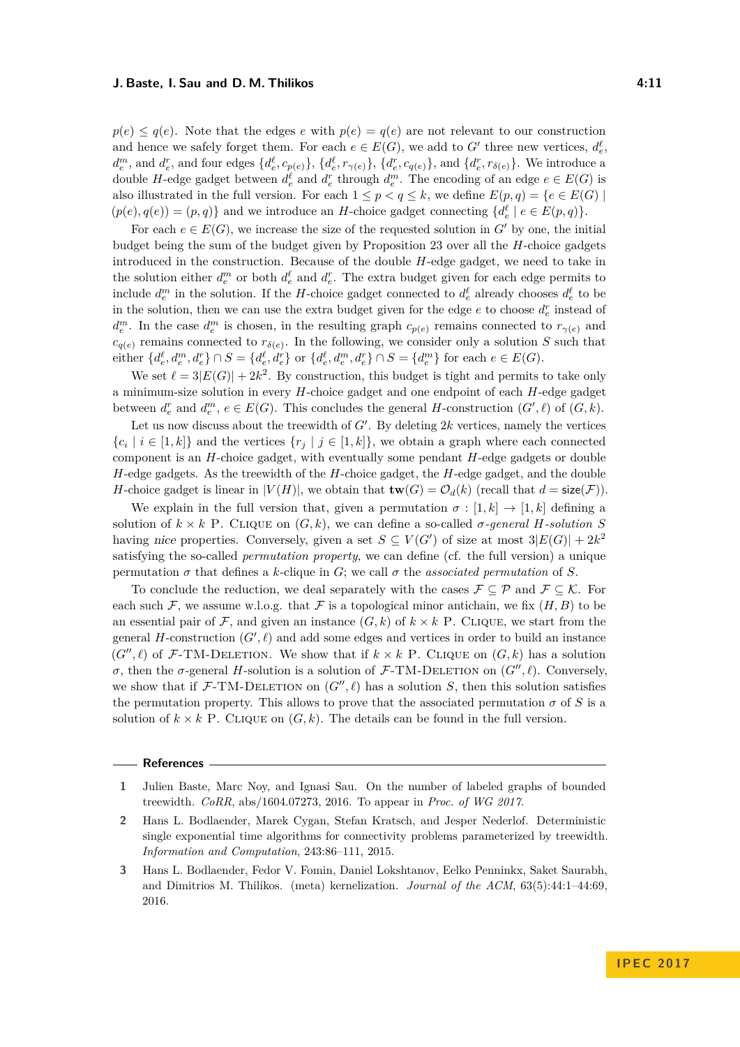$p(e) \leq q(e)$ . Note that the edges *e* with  $p(e) = q(e)$  are not relevant to our construction and hence we safely forget them. For each  $e \in E(G)$ , we add to  $G'$  three new vertices,  $d_e^{\ell}$ ,  $d_e^m$ , and  $d_e^r$ , and four edges  $\{d_e^{\ell}, c_{p(e)}\}$ ,  $\{d_e^{\ell}, r_{\gamma(e)}\}$ ,  $\{d_e^r, c_{q(e)}\}$ , and  $\{d_e^r, r_{\delta(e)}\}$ . We introduce a double *H*-edge gadget between  $d_e^{\ell}$  and  $d_e^r$  through  $d_e^m$ . The encoding of an edge  $e \in E(G)$  is also illustrated in the full version. For each  $1 \leq p < q \leq k$ , we define  $E(p,q) = \{e \in E(G) \mid$  $(p(e), q(e)) = (p, q)$  and we introduce an *H*-choice gadget connecting  $\{d_e^{\ell} \mid e \in E(p, q)\}.$ 

For each  $e \in E(G)$ , we increase the size of the requested solution in G<sup>t</sup> by one, the initial budget being the sum of the budget given by Proposition [23](#page-9-1) over all the *H*-choice gadgets introduced in the construction. Because of the double *H*-edge gadget, we need to take in the solution either  $d_e^m$  or both  $d_e^{\ell}$  and  $d_e^r$ . The extra budget given for each edge permits to include  $d_e^m$  in the solution. If the *H*-choice gadget connected to  $d_e^{\ell}$  already chooses  $d_e^{\ell}$  to be in the solution, then we can use the extra budget given for the edge  $e$  to choose  $d_e^r$  instead of  $d_e^m$ . In the case  $d_e^m$  is chosen, in the resulting graph  $c_{p(e)}$  remains connected to  $r_{\gamma(e)}$  and  $c_{q(e)}$  remains connected to  $r_{\delta(e)}$ . In the following, we consider only a solution *S* such that either  $\{d_e^{\ell}, d_e^m, d_e^r\} \cap S = \{d_e^{\ell}, d_e^r\}$  or  $\{d_e^{\ell}, d_e^m, d_e^r\} \cap S = \{d_e^m\}$  for each  $e \in E(G)$ .

We set  $\ell = 3|E(G)| + 2k^2$ . By construction, this budget is tight and permits to take only a minimum-size solution in every *H*-choice gadget and one endpoint of each *H*-edge gadget between  $d_e^r$  and  $d_e^m$ ,  $e \in E(G)$ . This concludes the general *H*-construction  $(G', \ell)$  of  $(G, k)$ .

Let us now discuss about the treewidth of  $G'$ . By deleting  $2k$  vertices, namely the vertices  ${c_i \mid i \in [1, k]}$  and the vertices  ${r_j \mid j \in [1, k]}$ , we obtain a graph where each connected component is an *H*-choice gadget, with eventually some pendant *H*-edge gadgets or double *H*-edge gadgets. As the treewidth of the *H*-choice gadget, the *H*-edge gadget, and the double *H*-choice gadget is linear in  $|V(H)|$ , we obtain that  $\mathbf{tw}(G) = \mathcal{O}_d(k)$  (recall that  $d = \text{size}(\mathcal{F})$ ).

We explain in the full version that, given a permutation  $\sigma : [1, k] \rightarrow [1, k]$  defining a solution of  $k \times k$  P. CLIQUE on  $(G, k)$ , we can define a so-called  $\sigma$ -general *H*-solution *S* having nice properties. Conversely, given a set  $S \subseteq V(G')$  of size at most  $3|E(G)| + 2k^2$ satisfying the so-called *permutation property*, we can define (cf. the full version) a unique permutation *σ* that defines a *k*-clique in *G*; we call *σ* the *associated permutation* of *S*.

To conclude the reduction, we deal separately with the cases  $\mathcal{F} \subseteq \mathcal{P}$  and  $\mathcal{F} \subseteq \mathcal{K}$ . For each such F, we assume w.l.o.g. that F is a topological minor antichain, we fix  $(H, B)$  to be an essential pair of  $\mathcal{F}$ , and given an instance  $(G, k)$  of  $k \times k$  P. CLIQUE, we start from the general  $H$ -construction  $(G', \ell)$  and add some edges and vertices in order to build an instance (*G*<sup> $\prime\prime$ </sup>,  $\ell$ ) of *F*-TM-DELETION. We show that if  $k \times k$  P. CLIQUE on (*G*, *k*) has a solution *σ*, then the *σ*-general *H*-solution is a solution of *F*-TM-DELETION on  $(G'', \ell)$ . Conversely, we show that if  $\mathcal{F}\text{-TM-DELETION}$  on  $(G'', \ell)$  has a solution *S*, then this solution satisfies the permutation property. This allows to prove that the associated permutation  $\sigma$  of  $S$  is a solution of  $k \times k$  P. Clique on  $(G, k)$ . The details can be found in the full version.

#### **References**

- <span id="page-10-0"></span>**2** Hans L. Bodlaender, Marek Cygan, Stefan Kratsch, and Jesper Nederlof. Deterministic single exponential time algorithms for connectivity problems parameterized by treewidth. *Information and Computation*, 243:86–111, 2015.
- <span id="page-10-1"></span>**3** Hans L. Bodlaender, Fedor V. Fomin, Daniel Lokshtanov, Eelko Penninkx, Saket Saurabh, and Dimitrios M. Thilikos. (meta) kernelization. *Journal of the ACM*, 63(5):44:1–44:69, 2016.

<span id="page-10-2"></span>**<sup>1</sup>** Julien Baste, Marc Noy, and Ignasi Sau. On the number of labeled graphs of bounded treewidth. *CoRR*, abs/1604.07273, 2016. To appear in *Proc. of WG 2017*.